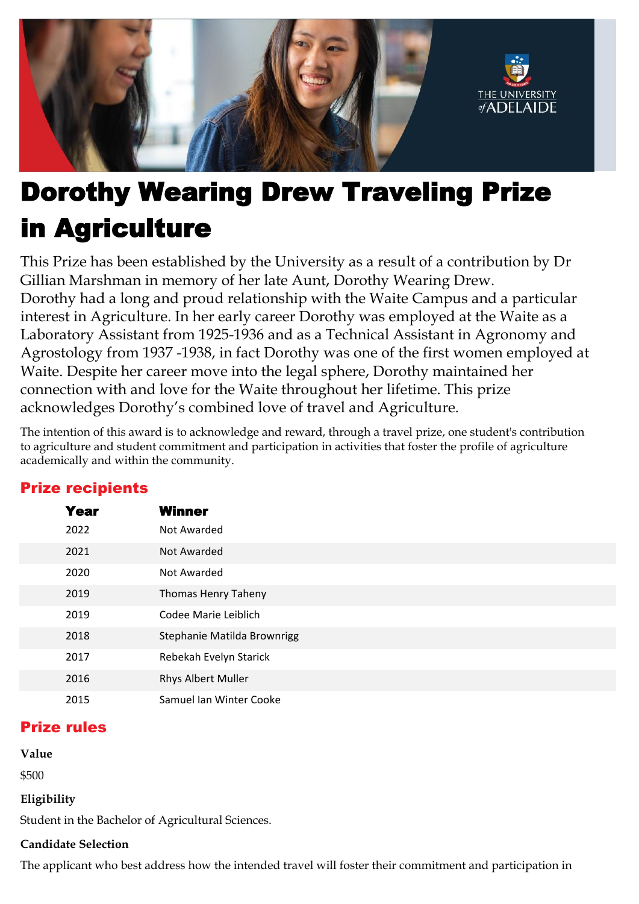

# Dorothy Wearing Drew Traveling Prize in Agriculture

This Prize has been established by the University as a result of a contribution by Dr Gillian Marshman in memory of her late Aunt, Dorothy Wearing Drew. Dorothy had a long and proud relationship with the Waite Campus and a particular interest in Agriculture. In her early career Dorothy was employed at the Waite as a Laboratory Assistant from 1925-1936 and as a Technical Assistant in Agronomy and Agrostology from 1937 -1938, in fact Dorothy was one of the first women employed at Waite. Despite her career move into the legal sphere, Dorothy maintained her connection with and love for the Waite throughout her lifetime. This prize acknowledges Dorothy's combined love of travel and Agriculture.

The intention of this award is to acknowledge and reward, through a travel prize, one student's contribution to agriculture and student commitment and participation in activities that foster the profile of agriculture academically and within the community.

| <b>Year</b> | <b>Winner</b>               |
|-------------|-----------------------------|
| 2022        | Not Awarded                 |
| 2021        | Not Awarded                 |
| 2020        | Not Awarded                 |
| 2019        | Thomas Henry Taheny         |
| 2019        | Codee Marie Leiblich        |
| 2018        | Stephanie Matilda Brownrigg |
| 2017        | Rebekah Evelyn Starick      |
| 2016        | Rhys Albert Muller          |
| 2015        | Samuel Ian Winter Cooke     |
|             |                             |

## Prize recipients

### Prize rules

**Value**

\$500

#### **Eligibility**

Student in the Bachelor of Agricultural Sciences.

#### **Candidate Selection**

The applicant who best address how the intended travel will foster their commitment and participation in